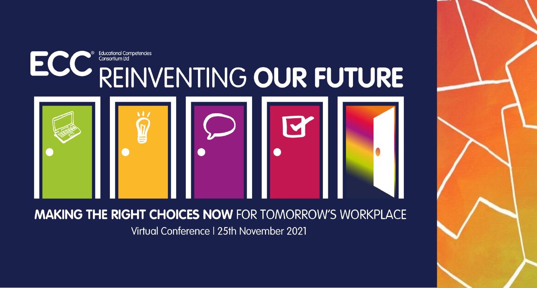

### **MAKING THE RIGHT CHOICES NOW FOR TOMORROW'S WORKPLACE**

Virtual Conference | 25th November 2021

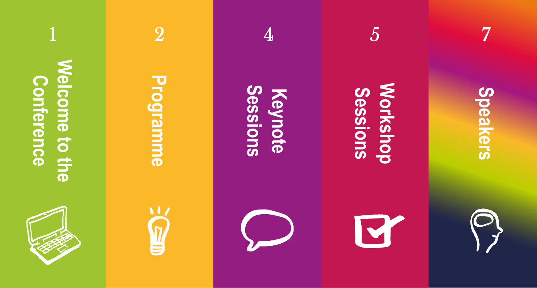

1 **Welcome to the [Welcome to the](#page-2-0)**  Conference **Conference** 



# **[Programme](#page-3-0)**

2



# **Sessions [Keynote](#page-5-0)**

4





7



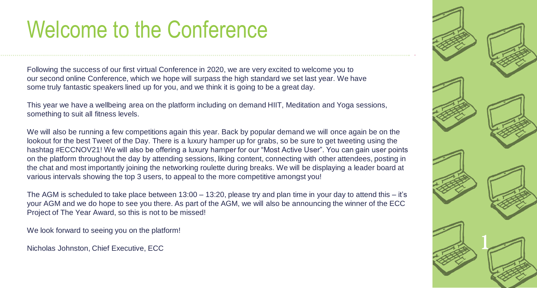# <span id="page-2-0"></span>Welcome to the Conference

Following the success of our first virtual Conference in 2020, we are very excited to welcome you to our second online Conference, which we hope will surpass the high standard we set last year. We have some truly fantastic speakers lined up for you, and we think it is going to be a great day.

This year we have a wellbeing area on the platform including on demand HIIT, Meditation and Yoga sessions, something to suit all fitness levels.

We will also be running a few competitions again this year. Back by popular demand we will once again be on the lookout for the best Tweet of the Day. There is a luxury hamper up for grabs, so be sure to get tweeting using the hashtag #ECCNOV21! We will also be offering a luxury hamper for our "Most Active User". You can gain user points on the platform throughout the day by attending sessions, liking content, connecting with other attendees, posting in the chat and most importantly joining the networking roulette during breaks. We will be displaying a leader board at various intervals showing the top 3 users, to appeal to the more competitive amongst you!

The AGM is scheduled to take place between 13:00 – 13:20, please try and plan time in your day to attend this – it's your AGM and we do hope to see you there. As part of the AGM, we will also be announcing the winner of the ECC Project of The Year Award, so this is not to be missed!

We look forward to seeing you on the platform!

Nicholas Johnston, Chief Executive, ECC

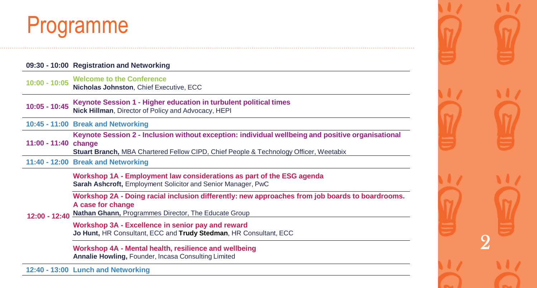## <span id="page-3-0"></span>Programme

### **09:30 - 10:00 Registration and Networking**

**10:00 - 10:05 Welcome to the Conference Nicholas Johnston**, Chief Executive, ECC

**10:05 - 10:45 Keynote Session 1 - Higher education in turbulent political times Nick Hillman**, Director of Policy and Advocacy, HEPI

**10:45 - 11:00 Break and Networking**

**11:00 - 11:40 change Keynote Session 2 - Inclusion without exception: individual wellbeing and positive organisational** 

**Stuart Branch,** MBA Chartered Fellow CIPD, Chief People & Technology Officer, Weetabix

**11:40 - 12:00 Break and Networking**

**Workshop 1A - Employment law considerations as part of the ESG agenda Sarah Ashcroft,** Employment Solicitor and Senior Manager, PwC

Workshop 2A - Doing racial inclusion differently: new approaches from job boards to boardrooms. **A case for change**

**12:00 - 12:40 Nathan Ghann,** Programmes Director, The Educate Group

> **Workshop 3A - Excellence in senior pay and reward Jo Hunt,** HR Consultant, ECC and **Trudy Stedman**, HR Consultant, ECC

**Workshop 4A - Mental health, resilience and wellbeing Annalie Howling,** Founder, Incasa Consulting Limited

**12:40 - 13:00 Lunch and Networking**

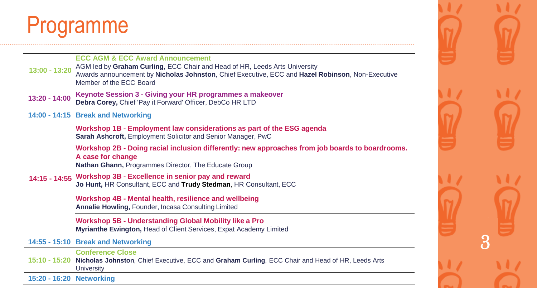# Programme

| 13:00 - 13:20            | <b>ECC AGM &amp; ECC Award Announcement</b><br>AGM led by Graham Curling, ECC Chair and Head of HR, Leeds Arts University<br>Awards announcement by Nicholas Johnston, Chief Executive, ECC and Hazel Robinson, Non-Executive<br>Member of the ECC Board |
|--------------------------|----------------------------------------------------------------------------------------------------------------------------------------------------------------------------------------------------------------------------------------------------------|
| $13:20 - 14:00$          | Keynote Session 3 - Giving your HR programmes a makeover<br>Debra Corey, Chief 'Pay it Forward' Officer, DebCo HR LTD                                                                                                                                    |
|                          | 14:00 - 14:15 Break and Networking                                                                                                                                                                                                                       |
|                          | Workshop 1B - Employment law considerations as part of the ESG agenda<br>Sarah Ashcroft, Employment Solicitor and Senior Manager, PwC                                                                                                                    |
|                          | Workshop 2B - Doing racial inclusion differently: new approaches from job boards to boardrooms.<br>A case for change<br>Nathan Ghann, Programmes Director, The Educate Group                                                                             |
|                          | 14:15 - 14:55 Workshop 3B - Excellence in senior pay and reward<br>Jo Hunt, HR Consultant, ECC and Trudy Stedman, HR Consultant, ECC                                                                                                                     |
|                          | Workshop 4B - Mental health, resilience and wellbeing<br>Annalie Howling, Founder, Incasa Consulting Limited                                                                                                                                             |
|                          | <b>Workshop 5B - Understanding Global Mobility like a Pro</b><br>Myrianthe Ewington, Head of Client Services, Expat Academy Limited                                                                                                                      |
|                          | 14:55 - 15:10 Break and Networking                                                                                                                                                                                                                       |
| $15:10 - 15:20$          | <b>Conference Close</b><br>Nicholas Johnston, Chief Executive, ECC and Graham Curling, ECC Chair and Head of HR, Leeds Arts<br>University                                                                                                                |
| 15:20 - 16:20 Networking |                                                                                                                                                                                                                                                          |

33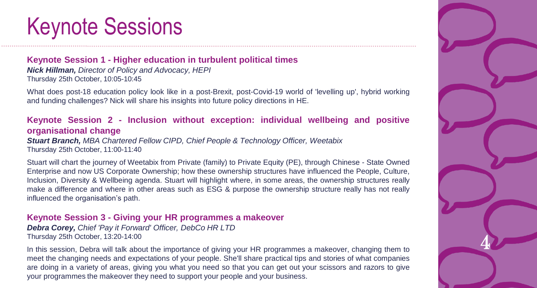# <span id="page-5-0"></span>Keynote Sessions

### **Keynote Session 1 - Higher education in turbulent political times**

*Nick Hillman, Director of Policy and Advocacy, HEPI* Thursday 25th October, 10:05-10:45

What does post-18 education policy look like in a post-Brexit, post-Covid-19 world of 'levelling up', hybrid working and funding challenges? Nick will share his insights into future policy directions in HE.

### **Keynote Session 2 - Inclusion without exception: individual wellbeing and positive organisational change**

*Stuart Branch, MBA Chartered Fellow CIPD, Chief People & Technology Officer, Weetabix* Thursday 25th October, 11:00-11:40

Stuart will chart the journey of Weetabix from Private (family) to Private Equity (PE), through Chinese - State Owned Enterprise and now US Corporate Ownership; how these ownership structures have influenced the People, Culture, Inclusion, Diversity & Wellbeing agenda. Stuart will highlight where, in some areas, the ownership structures really make a difference and where in other areas such as ESG & purpose the ownership structure really has not really influenced the organisation's path.

### **Keynote Session 3 - Giving your HR programmes a makeover**

*Debra Corey, Chief 'Pay it Forward' Officer, DebCo HR LTD* Thursday 25th October, 13:20-14:00

In this session, Debra will talk about the importance of giving your HR programmes a makeover, changing them to meet the changing needs and expectations of your people. She'll share practical tips and stories of what companies are doing in a variety of areas, giving you what you need so that you can get out your scissors and razors to give your programmes the makeover they need to support your people and your business.

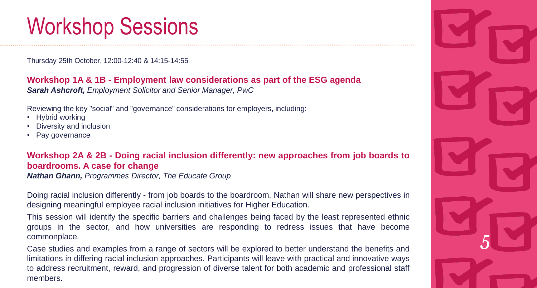# <span id="page-6-0"></span>Workshop Sessions

Thursday 25th October, 12:00-12:40 & 14:15-14:55

**Workshop 1A & 1B - Employment law considerations as part of the ESG agenda** *Sarah Ashcroft, Employment Solicitor and Senior Manager, PwC*

Reviewing the key "social" and "governance" considerations for employers, including:

- Hybrid working
- Diversity and inclusion
- Pay governance

**Workshop 2A & 2B - Doing racial inclusion differently: new approaches from job boards to boardrooms. A case for change**

*Nathan Ghann, Programmes Director, The Educate Group*

Doing racial inclusion differently - from job boards to the boardroom, Nathan will share new perspectives in designing meaningful employee racial inclusion initiatives for Higher Education.

This session will identify the specific barriers and challenges being faced by the least represented ethnic groups in the sector, and how universities are responding to redress issues that have become commonplace.

Case studies and examples from a range of sectors will be explored to better understand the benefits and limitations in differing racial inclusion approaches. Participants will leave with practical and innovative ways to address recruitment, reward, and progression of diverse talent for both academic and professional staff members.

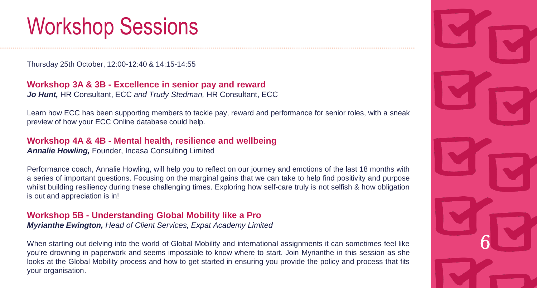# Workshop Sessions

Thursday 25th October, 12:00-12:40 & 14:15-14:55

**Workshop 3A & 3B - Excellence in senior pay and reward** *Jo Hunt,* HR Consultant, ECC *and Trudy Stedman,* HR Consultant, ECC

Learn how ECC has been supporting members to tackle pay, reward and performance for senior roles, with a sneak preview of how your ECC Online database could help.

### **Workshop 4A & 4B - Mental health, resilience and wellbeing**

*Annalie Howling,* Founder, Incasa Consulting Limited

Performance coach, Annalie Howling, will help you to reflect on our journey and emotions of the last 18 months with a series of important questions. Focusing on the marginal gains that we can take to help find positivity and purpose whilst building resiliency during these challenging times. Exploring how self-care truly is not selfish & how obligation is out and appreciation is in!

### **Workshop 5B - Understanding Global Mobility like a Pro** *Myrianthe Ewington, Head of Client Services, Expat Academy Limited*

When starting out delving into the world of Global Mobility and international assignments it can sometimes feel like you're drowning in paperwork and seems impossible to know where to start. Join Myrianthe in this session as she looks at the Global Mobility process and how to get started in ensuring you provide the policy and process that fits your organisation.

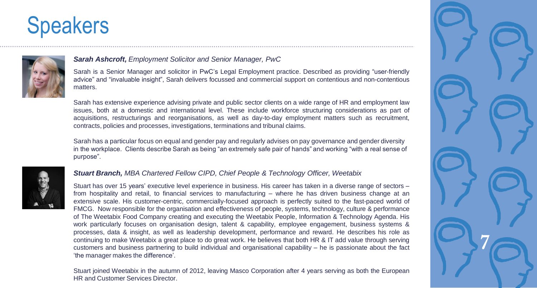<span id="page-8-0"></span>

### *Sarah Ashcroft, Employment Solicitor and Senior Manager, PwC*

Sarah is a Senior Manager and solicitor in PwC's Legal Employment practice. Described as providing "user-friendly advice" and "invaluable insight", Sarah delivers focussed and commercial support on contentious and non-contentious matters.

Sarah has extensive experience advising private and public sector clients on a wide range of HR and employment law issues, both at a domestic and international level. These include workforce structuring considerations as part of acquisitions, restructurings and reorganisations, as well as day-to-day employment matters such as recruitment, contracts, policies and processes, investigations, terminations and tribunal claims.

Sarah has a particular focus on equal and gender pay and regularly advises on pay governance and gender diversity in the workplace. Clients describe Sarah as being "an extremely safe pair of hands" and working "with a real sense of purpose".



### *Stuart Branch, MBA Chartered Fellow CIPD, Chief People & Technology Officer, Weetabix*

Stuart has over 15 years' executive level experience in business. His career has taken in a diverse range of sectors – from hospitality and retail, to financial services to manufacturing – where he has driven business change at an extensive scale. His customer-centric, commercially-focused approach is perfectly suited to the fast-paced world of FMCG. Now responsible for the organisation and effectiveness of people, systems, technology, culture & performance of The Weetabix Food Company creating and executing the Weetabix People, Information & Technology Agenda. His work particularly focuses on organisation design, talent & capability, employee engagement, business systems & processes, data & insight, as well as leadership development, performance and reward. He describes his role as continuing to make Weetabix a great place to do great work. He believes that both HR & IT add value through serving customers and business partnering to build individual and organisational capability – he is passionate about the fact 'the manager makes the difference'.

Stuart joined Weetabix in the autumn of 2012, leaving Masco Corporation after 4 years serving as both the European HR and Customer Services Director.

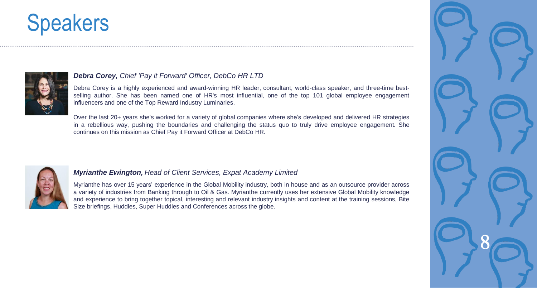

### *Debra Corey, Chief 'Pay it Forward' Officer, DebCo HR LTD*

Debra Corey is a highly experienced and award-winning HR leader, consultant, world-class speaker, and three-time bestselling author. She has been named one of HR's most influential, one of the top 101 global employee engagement influencers and one of the Top Reward Industry Luminaries.

Over the last 20+ years she's worked for a variety of global companies where she's developed and delivered HR strategies in a rebellious way, pushing the boundaries and challenging the status quo to truly drive employee engagement. She continues on this mission as Chief Pay it Forward Officer at DebCo HR.



### *Myrianthe Ewington, Head of Client Services, Expat Academy Limited*

Myrianthe has over 15 years' experience in the Global Mobility industry, both in house and as an outsource provider across a variety of industries from Banking through to Oil & Gas. Myrianthe currently uses her extensive Global Mobility knowledge and experience to bring together topical, interesting and relevant industry insights and content at the training sessions, Bite Size briefings, Huddles, Super Huddles and Conferences across the globe.

86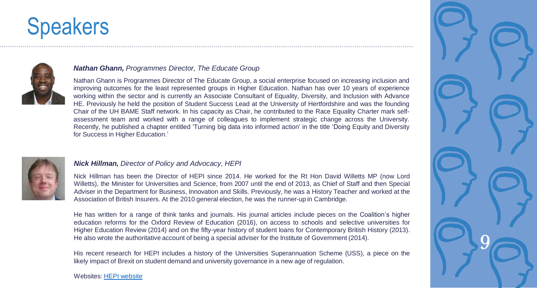

### *Nathan Ghann, Programmes Director, The Educate Group*

Nathan Ghann is Programmes Director of The Educate Group, a social enterprise focused on increasing inclusion and improving outcomes for the least represented groups in Higher Education. Nathan has over 10 years of experience working within the sector and is currently an Associate Consultant of Equality, Diversity, and Inclusion with Advance HE. Previously he held the position of Student Success Lead at the University of Hertfordshire and was the founding Chair of the UH BAME Staff network. In his capacity as Chair, he contributed to the Race Equality Charter mark selfassessment team and worked with a range of colleagues to implement strategic change across the University. Recently, he published a chapter entitled 'Turning big data into informed action' in the title 'Doing Equity and Diversity for Success in Higher Education.'



### *Nick Hillman, Director of Policy and Advocacy, HEPI*

Nick Hillman has been the Director of HEPI since 2014. He worked for the Rt Hon David Willetts MP (now Lord Willetts), the Minister for Universities and Science, from 2007 until the end of 2013, as Chief of Staff and then Special Adviser in the Department for Business, Innovation and Skills. Previously, he was a History Teacher and worked at the Association of British Insurers. At the 2010 general election, he was the runner-up in Cambridge.

He has written for a range of think tanks and journals. His journal articles include pieces on the Coalition's higher education reforms for the Oxford Review of Education (2016), on access to schools and selective universities for Higher Education Review (2014) and on the fifty-year history of student loans for Contemporary British History (2013). He also wrote the authoritative account of being a special adviser for the Institute of Government (2014).

His recent research for HEPI includes a history of the Universities Superannuation Scheme (USS), a piece on the likely impact of Brexit on student demand and university governance in a new age of regulation.

### Websites: [HEPI website](https://www.hepi.ac.uk/)

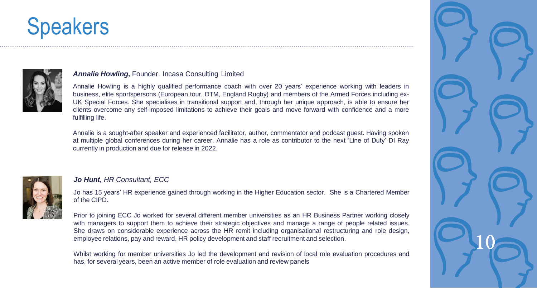

### *Annalie Howling,* Founder, Incasa Consulting Limited

Annalie Howling is a highly qualified performance coach with over 20 years' experience working with leaders in business, elite sportspersons (European tour, DTM, England Rugby) and members of the Armed Forces including ex-UK Special Forces. She specialises in transitional support and, through her unique approach, is able to ensure her clients overcome any self-imposed limitations to achieve their goals and move forward with confidence and a more fulfilling life.

Annalie is a sought-after speaker and experienced facilitator, author, commentator and podcast guest. Having spoken at multiple global conferences during her career. Annalie has a role as contributor to the next 'Line of Duty' DI Ray currently in production and due for release in 2022.



### *Jo Hunt, HR Consultant, ECC*

Jo has 15 years' HR experience gained through working in the Higher Education sector. She is a Chartered Member of the CIPD.

Prior to joining ECC Jo worked for several different member universities as an HR Business Partner working closely with managers to support them to achieve their strategic objectives and manage a range of people related issues. She draws on considerable experience across the HR remit including organisational restructuring and role design, employee relations, pay and reward, HR policy development and staff recruitment and selection.

Whilst working for member universities Jo led the development and revision of local role evaluation procedures and has, for several years, been an active member of role evaluation and review panels

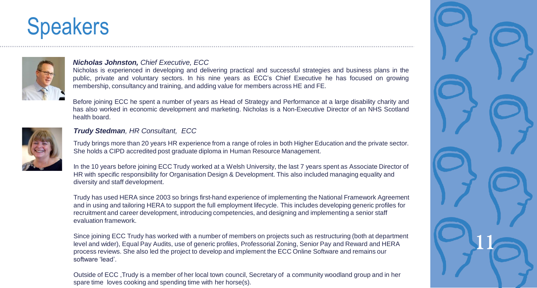

### *Nicholas Johnston, Chief Executive, ECC*

Nicholas is experienced in developing and delivering practical and successful strategies and business plans in the public, private and voluntary sectors. In his nine years as ECC's Chief Executive he has focused on growing membership, consultancy and training, and adding value for members across HE and FE.

Before joining ECC he spent a number of years as Head of Strategy and Performance at a large disability charity and has also worked in economic development and marketing. Nicholas is a Non-Executive Director of an NHS Scotland health board.



### *Trudy Stedman, HR Consultant, ECC*

Trudy brings more than 20 years HR experience from a range of roles in both Higher Education and the private sector. She holds a CIPD accredited post graduate diploma in Human Resource Management.

In the 10 years before joining ECC Trudy worked at a Welsh University, the last 7 years spent as Associate Director of HR with specific responsibility for Organisation Design & Development. This also included managing equality and diversity and staff development.

Trudy has used HERA since 2003 so brings first-hand experience of implementing the National Framework Agreement and in using and tailoring HERA to support the full employment lifecycle. This includes developing generic profiles for recruitment and career development, introducing competencies, and designing and implementing a senior staff evaluation framework.

Since joining ECC Trudy has worked with a number of members on projects such as restructuring (both at department level and wider), Equal Pay Audits, use of generic profiles, Professorial Zoning, Senior Pay and Reward and HERA process reviews. She also led the project to develop and implement the ECC Online Software and remains our software 'lead'.

Outside of ECC ,Trudy is a member of her local town council, Secretary of a community woodland group and in her spare time loves cooking and spending time with her horse(s).